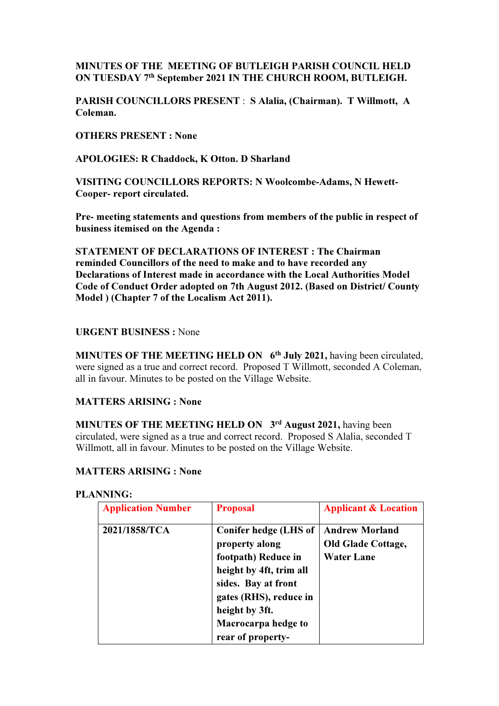# MINUTES OF THE MEETING OF BUTLEIGH PARISH COUNCIL HELD ON TUESDAY 7th September 2021 IN THE CHURCH ROOM, BUTLEIGH.

PARISH COUNCILLORS PRESENT : S Alalia, (Chairman). T Willmott, A Coleman.

OTHERS PRESENT : None

APOLOGIES: R Chaddock, K Otton. D Sharland

VISITING COUNCILLORS REPORTS: N Woolcombe-Adams, N Hewett-Cooper- report circulated.

Pre- meeting statements and questions from members of the public in respect of business itemised on the Agenda :

STATEMENT OF DECLARATIONS OF INTEREST : The Chairman reminded Councillors of the need to make and to have recorded any Declarations of Interest made in accordance with the Local Authorities Model Code of Conduct Order adopted on 7th August 2012. (Based on District/ County Model ) (Chapter 7 of the Localism Act 2011).

# URGENT BUSINESS : None

MINUTES OF THE MEETING HELD ON  $6<sup>th</sup>$  July 2021, having been circulated, were signed as a true and correct record. Proposed T Willmott, seconded A Coleman, all in favour. Minutes to be posted on the Village Website.

## MATTERS ARISING : None

MINUTES OF THE MEETING HELD ON 3<sup>rd</sup> August 2021, having been circulated, were signed as a true and correct record. Proposed S Alalia, seconded T Willmott, all in favour. Minutes to be posted on the Village Website.

## MATTERS ARISING : None

### PLANNING:

| <b>Application Number</b> | <b>Proposal</b>                                                                                                                                                                                          | <b>Applicant &amp; Location</b>                                         |
|---------------------------|----------------------------------------------------------------------------------------------------------------------------------------------------------------------------------------------------------|-------------------------------------------------------------------------|
| 2021/1858/TCA             | Conifer hedge (LHS of<br>property along<br>footpath) Reduce in<br>height by 4ft, trim all<br>sides. Bay at front<br>gates (RHS), reduce in<br>height by 3ft.<br>Macrocarpa hedge to<br>rear of property- | <b>Andrew Morland</b><br><b>Old Glade Cottage,</b><br><b>Water Lane</b> |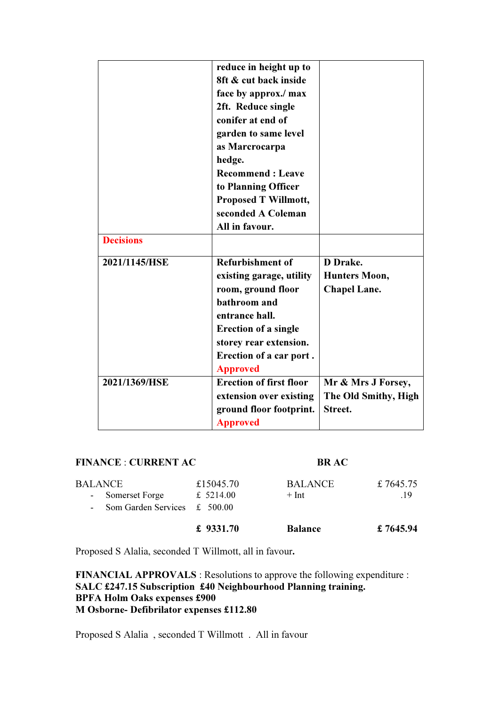|                  | reduce in height up to         |                      |
|------------------|--------------------------------|----------------------|
|                  | 8ft & cut back inside          |                      |
|                  | face by approx./ max           |                      |
|                  | 2ft. Reduce single             |                      |
|                  | conifer at end of              |                      |
|                  | garden to same level           |                      |
|                  | as Marcrocarpa                 |                      |
|                  | hedge.                         |                      |
|                  | <b>Recommend: Leave</b>        |                      |
|                  | to Planning Officer            |                      |
|                  | <b>Proposed T Willmott,</b>    |                      |
|                  | seconded A Coleman             |                      |
|                  | All in favour.                 |                      |
| <b>Decisions</b> |                                |                      |
| 2021/1145/HSE    | <b>Refurbishment of</b>        | D Drake.             |
|                  | existing garage, utility       | <b>Hunters Moon,</b> |
|                  | room, ground floor             | <b>Chapel Lane.</b>  |
|                  | bathroom and                   |                      |
|                  | entrance hall.                 |                      |
|                  | <b>Erection of a single</b>    |                      |
|                  | storey rear extension.         |                      |
|                  | Erection of a car port.        |                      |
|                  | <b>Approved</b>                |                      |
| 2021/1369/HSE    | <b>Erection of first floor</b> | Mr & Mrs J Forsey,   |
|                  | extension over existing        | The Old Smithy, High |
|                  | ground floor footprint.        | Street.              |
|                  | <b>Approved</b>                |                      |
|                  |                                |                      |

## FINANCE : CURRENT AC BR AC

|         |                                    | £ $9331.70$ | <b>Balance</b> | £7645.94 |
|---------|------------------------------------|-------------|----------------|----------|
|         | - Som Garden Services $\pm$ 500.00 |             |                |          |
|         | - Somerset Forge                   | £ $5214.00$ | $+$ Int        | .19      |
| BALANCE |                                    | £15045.70   | <b>BALANCE</b> | £7645.75 |

Proposed S Alalia, seconded T Willmott, all in favour.

FINANCIAL APPROVALS : Resolutions to approve the following expenditure : SALC £247.15 Subscription £40 Neighbourhood Planning training. BPFA Holm Oaks expenses £900 M Osborne- Defibrilator expenses £112.80

Proposed S Alalia , seconded T Willmott . All in favour